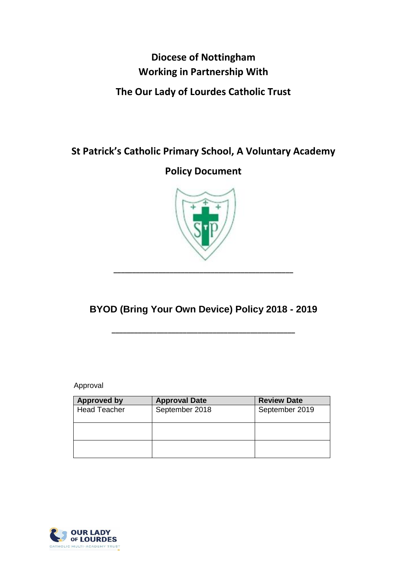# **Diocese of Nottingham Working in Partnership With**

## **The Our Lady of Lourdes Catholic Trust**

**St Patrick's Catholic Primary School, A Voluntary Academy**

**Policy Document**



**BYOD (Bring Your Own Device) Policy 2018 - 2019**

**\_\_\_\_\_\_\_\_\_\_\_\_\_\_\_\_\_\_\_\_\_\_\_\_\_\_\_\_\_\_\_\_\_\_\_\_\_\_\_\_\_\_\_\_\_\_\_\_\_**

**\_\_\_\_\_\_\_\_\_\_\_\_\_\_\_\_\_\_\_\_\_\_\_\_\_\_\_\_\_\_\_\_\_\_\_\_\_\_\_\_\_\_\_\_\_\_\_\_**

Approval

| <b>Approved by</b>  | <b>Approval Date</b> | <b>Review Date</b> |  |  |
|---------------------|----------------------|--------------------|--|--|
| <b>Head Teacher</b> | September 2018       | September 2019     |  |  |
|                     |                      |                    |  |  |
|                     |                      |                    |  |  |
|                     |                      |                    |  |  |
|                     |                      |                    |  |  |
|                     |                      |                    |  |  |

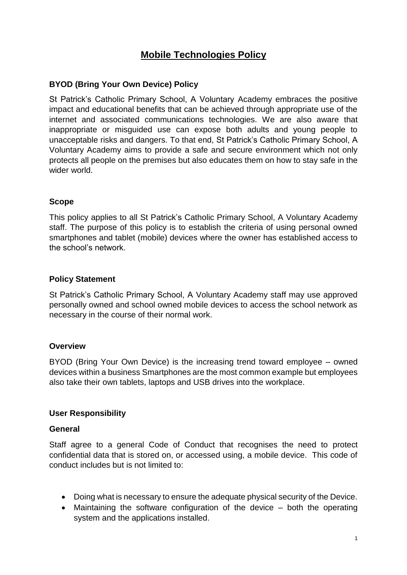## **Mobile Technologies Policy**

## **BYOD (Bring Your Own Device) Policy**

St Patrick's Catholic Primary School, A Voluntary Academy embraces the positive impact and educational benefits that can be achieved through appropriate use of the internet and associated communications technologies. We are also aware that inappropriate or misguided use can expose both adults and young people to unacceptable risks and dangers. To that end, St Patrick's Catholic Primary School, A Voluntary Academy aims to provide a safe and secure environment which not only protects all people on the premises but also educates them on how to stay safe in the wider world.

## **Scope**

This policy applies to all St Patrick's Catholic Primary School, A Voluntary Academy staff. The purpose of this policy is to establish the criteria of using personal owned smartphones and tablet (mobile) devices where the owner has established access to the school's network.

## **Policy Statement**

St Patrick's Catholic Primary School, A Voluntary Academy staff may use approved personally owned and school owned mobile devices to access the school network as necessary in the course of their normal work.

#### **Overview**

BYOD (Bring Your Own Device) is the increasing trend toward employee – owned devices within a business Smartphones are the most common example but employees also take their own tablets, laptops and USB drives into the workplace.

#### **User Responsibility**

#### **General**

Staff agree to a general Code of Conduct that recognises the need to protect confidential data that is stored on, or accessed using, a mobile device. This code of conduct includes but is not limited to:

- Doing what is necessary to ensure the adequate physical security of the Device.
- Maintaining the software configuration of the device both the operating system and the applications installed.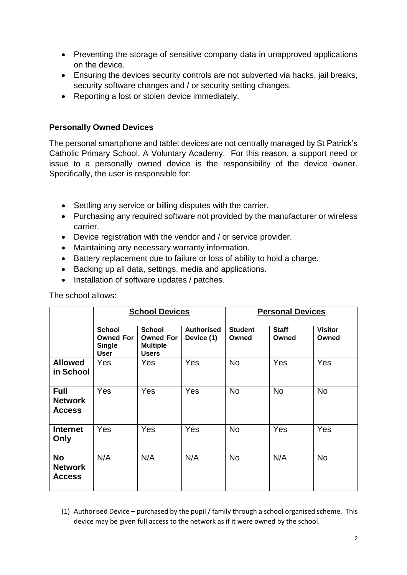- Preventing the storage of sensitive company data in unapproved applications on the device.
- Ensuring the devices security controls are not subverted via hacks, jail breaks, security software changes and / or security setting changes.
- Reporting a lost or stolen device immediately.

## **Personally Owned Devices**

The personal smartphone and tablet devices are not centrally managed by St Patrick's Catholic Primary School, A Voluntary Academy. For this reason, a support need or issue to a personally owned device is the responsibility of the device owner. Specifically, the user is responsible for:

- Settling any service or billing disputes with the carrier.
- Purchasing any required software not provided by the manufacturer or wireless carrier.
- Device registration with the vendor and / or service provider.
- Maintaining any necessary warranty information.
- Battery replacement due to failure or loss of ability to hold a charge.
- Backing up all data, settings, media and applications.
- Installation of software updates / patches.

|                                                | <b>School Devices</b>                                             |                                                                      |                                 | <b>Personal Devices</b> |                       |                         |
|------------------------------------------------|-------------------------------------------------------------------|----------------------------------------------------------------------|---------------------------------|-------------------------|-----------------------|-------------------------|
|                                                | <b>School</b><br><b>Owned For</b><br><b>Single</b><br><b>User</b> | <b>School</b><br><b>Owned For</b><br><b>Multiple</b><br><b>Users</b> | <b>Authorised</b><br>Device (1) | <b>Student</b><br>Owned | <b>Staff</b><br>Owned | <b>Visitor</b><br>Owned |
| <b>Allowed</b><br>in School                    | Yes                                                               | Yes                                                                  | Yes                             | <b>No</b>               | Yes                   | Yes                     |
| <b>Full</b><br><b>Network</b><br><b>Access</b> | Yes                                                               | Yes                                                                  | Yes                             | <b>No</b>               | <b>No</b>             | <b>No</b>               |
| <b>Internet</b><br>Only                        | Yes                                                               | Yes                                                                  | Yes                             | <b>No</b>               | Yes                   | Yes                     |
| <b>No</b><br><b>Network</b><br><b>Access</b>   | N/A                                                               | N/A                                                                  | N/A                             | <b>No</b>               | N/A                   | <b>No</b>               |

The school allows:

(1) Authorised Device – purchased by the pupil / family through a school organised scheme. This device may be given full access to the network as if it were owned by the school.